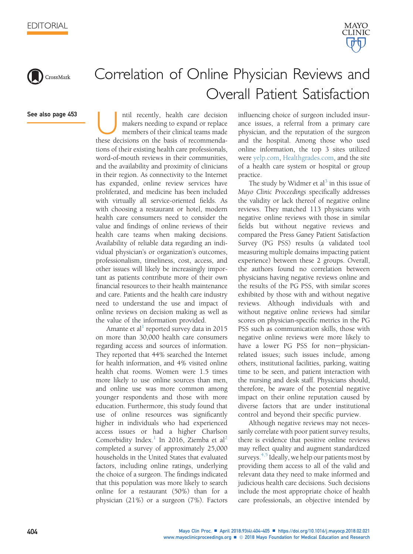



## Correlation of Online Physician Reviews and Overall Patient Satisfaction

See also page 453

Intil recently, health care decision makers needing to expand or replace members of their clinical teams made these decisions on the basis of recommendamakers needing to expand or replace members of their clinical teams made tions of their existing health care professionals, word-of-mouth reviews in their communities, and the availability and proximity of clinicians in their region. As connectivity to the Internet has expanded, online review services have proliferated, and medicine has been included with virtually all service-oriented fields. As with choosing a restaurant or hotel, modern health care consumers need to consider the value and findings of online reviews of their health care teams when making decisions. Availability of reliable data regarding an individual physician's or organization's outcomes, professionalism, timeliness, cost, access, and other issues will likely be increasingly important as patients contribute more of their own financial resources to their health maintenance and care. Patients and the health care industry need to understand the use and impact of online reviews on decision making as well as the value of the information provided.

Amante et al<sup>[1](#page-1-0)</sup> reported survey data in 2015 on more than 30,000 health care consumers regarding access and sources of information. They reported that 44% searched the Internet for health information, and 4% visited online health chat rooms. Women were 1.5 times more likely to use online sources than men, and online use was more common among younger respondents and those with more education. Furthermore, this study found that use of online resources was significantly higher in individuals who had experienced access issues or had a higher Charlson Comorbidity Index.<sup>[1](#page-1-0)</sup> In [2](#page-1-0)016, Ziemba et al<sup>2</sup> completed a survey of approximately 25,000 households in the United States that evaluated factors, including online ratings, underlying the choice of a surgeon. The findings indicated that this population was more likely to search online for a restaurant (50%) than for a physician (21%) or a surgeon (7%). Factors influencing choice of surgeon included insurance issues, a referral from a primary care physician, and the reputation of the surgeon and the hospital. Among those who used online information, the top 3 sites utilized were [yelp.com,](http://yelp.com) [Healthgrades.com,](http://Healthgrades.com) and the site of a health care system or hospital or group practice.

The study by Widmer et  $al<sup>3</sup>$  in this issue of Mayo Clinic Proceedings specifically addresses the validity or lack thereof of negative online reviews. They matched 113 physicians with negative online reviews with those in similar fields but without negative reviews and compared the Press Ganey Patient Satisfaction Survey (PG PSS) results (a validated tool measuring multiple domains impacting patient experience) between these 2 groups. Overall, the authors found no correlation between physicians having negative reviews online and the results of the PG PSS, with similar scores exhibited by those with and without negative reviews. Although individuals with and without negative online reviews had similar scores on physician-specific metrics in the PG PSS such as communication skills, those with negative online reviews were more likely to have a lower PG PSS for non-physicianrelated issues; such issues include, among others, institutional facilities, parking, waiting time to be seen, and patient interaction with the nursing and desk staff. Physicians should, therefore, be aware of the potential negative impact on their online reputation caused by diverse factors that are under institutional control and beyond their specific purview.

Although negative reviews may not necessarily correlate with poor patient survey results, there is evidence that positive online reviews may reflect quality and augment standardized surveys. $4,5$  Ideally, we help our patients most by providing them access to all of the valid and relevant data they need to make informed and judicious health care decisions. Such decisions include the most appropriate choice of health care professionals, an objective intended by